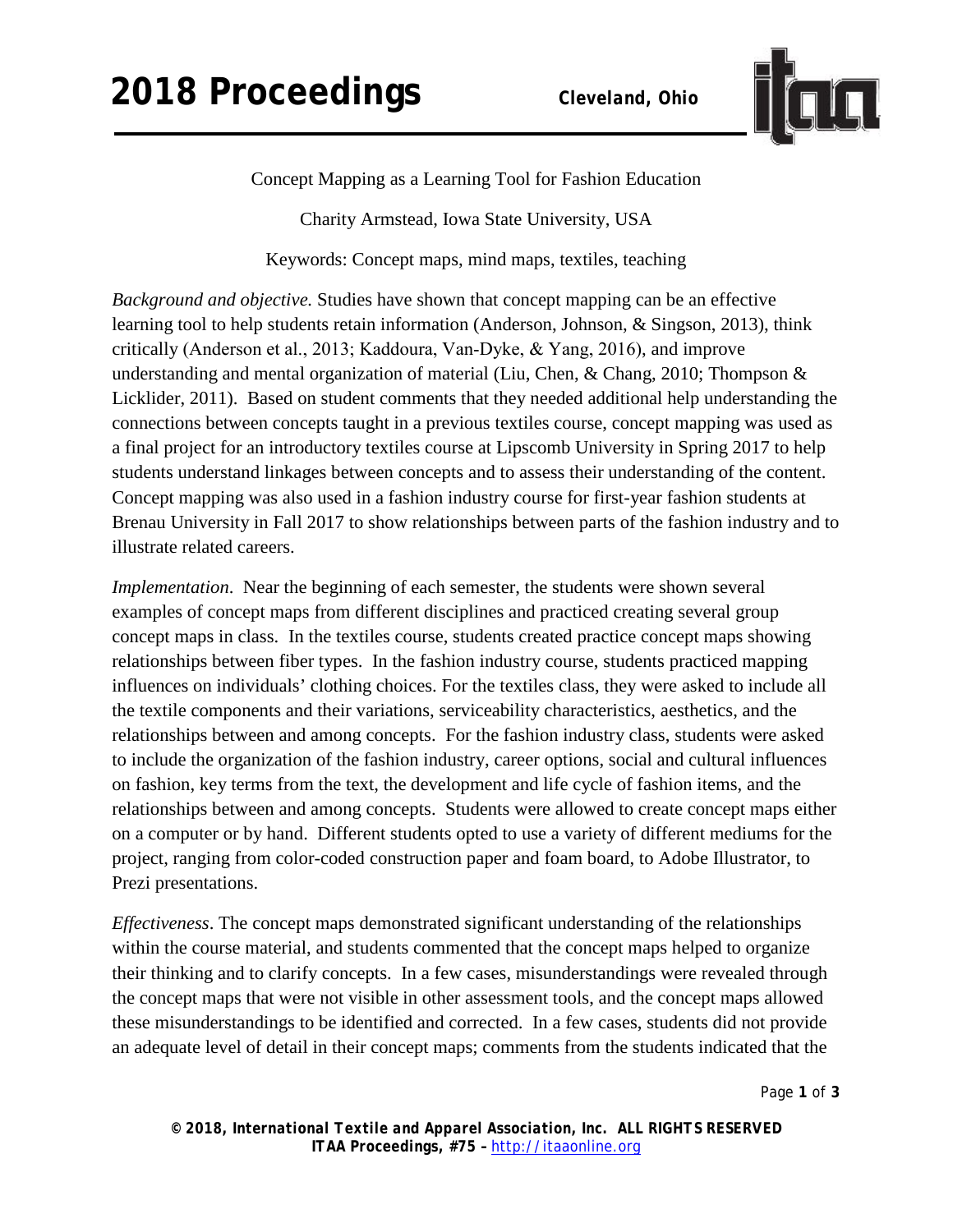

Concept Mapping as a Learning Tool for Fashion Education

Charity Armstead, Iowa State University, USA

Keywords: Concept maps, mind maps, textiles, teaching

*Background and objective.* Studies have shown that concept mapping can be an effective learning tool to help students retain information (Anderson, Johnson, & Singson, 2013), think critically (Anderson et al., 2013; Kaddoura, Van‐Dyke, & Yang, 2016), and improve understanding and mental organization of material (Liu, Chen, & Chang, 2010; Thompson & Licklider, 2011). Based on student comments that they needed additional help understanding the connections between concepts taught in a previous textiles course, concept mapping was used as a final project for an introductory textiles course at Lipscomb University in Spring 2017 to help students understand linkages between concepts and to assess their understanding of the content. Concept mapping was also used in a fashion industry course for first-year fashion students at Brenau University in Fall 2017 to show relationships between parts of the fashion industry and to illustrate related careers.

*Implementation*. Near the beginning of each semester, the students were shown several examples of concept maps from different disciplines and practiced creating several group concept maps in class. In the textiles course, students created practice concept maps showing relationships between fiber types. In the fashion industry course, students practiced mapping influences on individuals' clothing choices. For the textiles class, they were asked to include all the textile components and their variations, serviceability characteristics, aesthetics, and the relationships between and among concepts. For the fashion industry class, students were asked to include the organization of the fashion industry, career options, social and cultural influences on fashion, key terms from the text, the development and life cycle of fashion items, and the relationships between and among concepts. Students were allowed to create concept maps either on a computer or by hand. Different students opted to use a variety of different mediums for the project, ranging from color-coded construction paper and foam board, to Adobe Illustrator, to Prezi presentations.

*Effectiveness*. The concept maps demonstrated significant understanding of the relationships within the course material, and students commented that the concept maps helped to organize their thinking and to clarify concepts. In a few cases, misunderstandings were revealed through the concept maps that were not visible in other assessment tools, and the concept maps allowed these misunderstandings to be identified and corrected. In a few cases, students did not provide an adequate level of detail in their concept maps; comments from the students indicated that the

Page **1** of **3**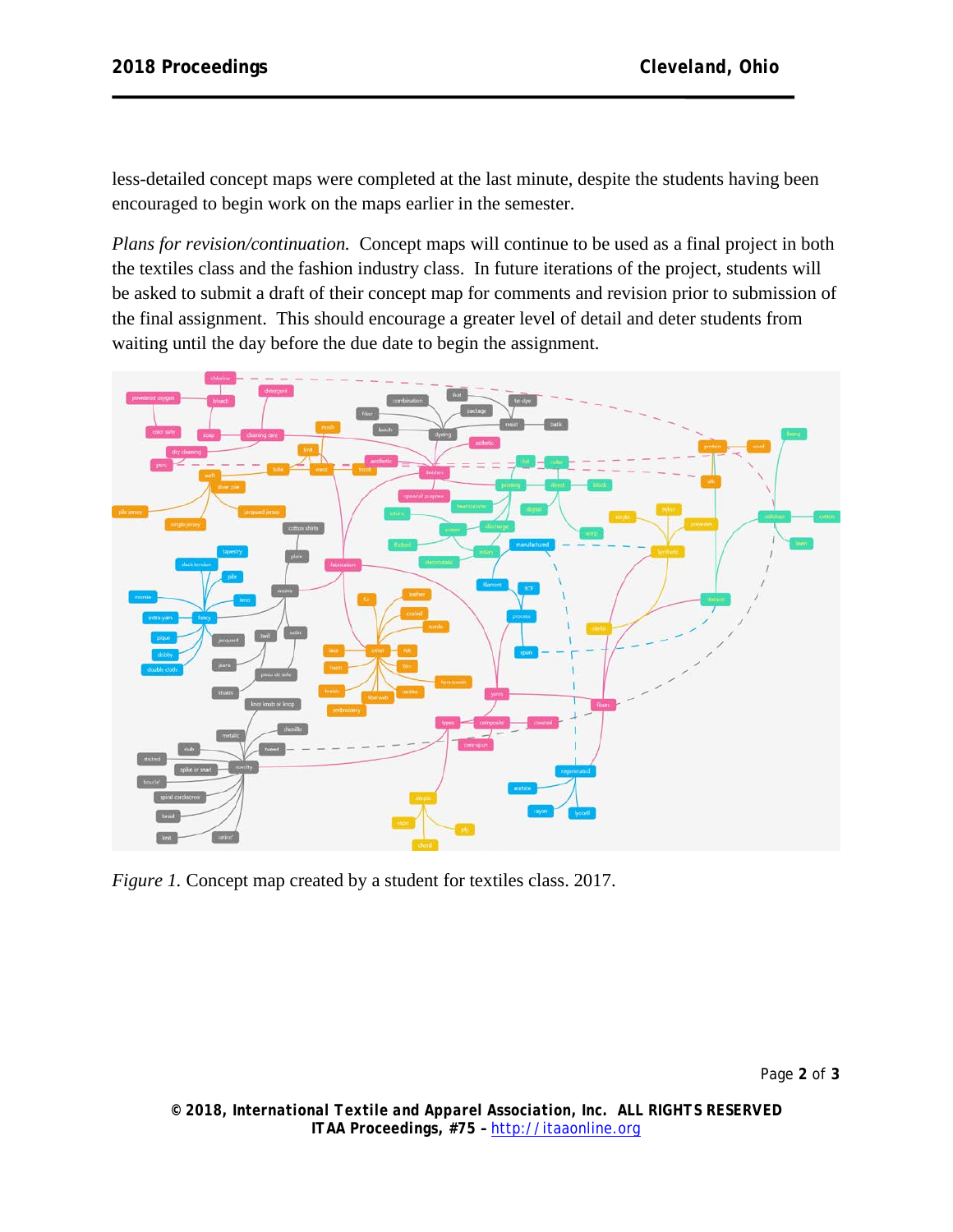less-detailed concept maps were completed at the last minute, despite the students having been encouraged to begin work on the maps earlier in the semester.

*Plans for revision/continuation.* Concept maps will continue to be used as a final project in both the textiles class and the fashion industry class. In future iterations of the project, students will be asked to submit a draft of their concept map for comments and revision prior to submission of the final assignment. This should encourage a greater level of detail and deter students from waiting until the day before the due date to begin the assignment.



*Figure 1.* Concept map created by a student for textiles class. 2017.

*© 2018, International Textile and Apparel Association, Inc. ALL RIGHTS RESERVED ITAA Proceedings, #75 –* [http://itaaonline.org](http://itaaonline.org/)